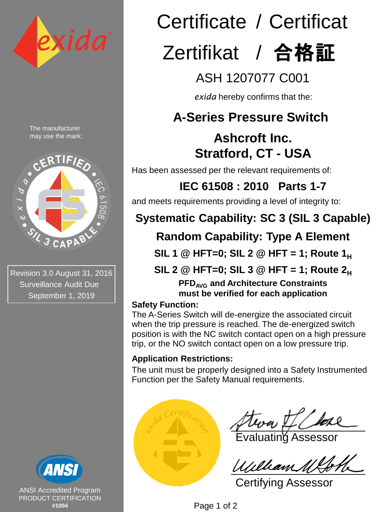

The manufacturer may use the mark:



Revision 3.0 August 31, 2016 Surveillance Audit Due September 1, 2019



ANSI Accredited Program PRODUCT CERTIFICATION **#1004**

# Certificate / Certificat Zertifikat / 合格証

## ASH 1207077 C001

*exida* hereby confirms that the:

## **A-Series Pressure Switch**

## **Ashcroft Inc. Stratford, CT - USA**

Has been assessed per the relevant requirements of:

## **IEC 61508 : 2010 Parts 1-7**

and meets requirements providing a level of integrity to:

## **Systematic Capability: SC 3 (SIL 3 Capable)**

## **Random Capability: Type A Element**

**SIL 1 @ HFT=0; SIL 2 @ HFT = 1; Route 1<sup>H</sup>**

**SIL 2 @ HFT=0; SIL 3 @ HFT = 1; Route 2<sup>H</sup>**

**PFDAVG and Architecture Constraints must be verified for each application**

### **Safety Function:**

The A-Series Switch will de-energize the associated circuit when the trip pressure is reached. The de-energized switch position is with the NC switch contact open on a high pressure trip, or the NO switch contact open on a low pressure trip.

### **Application Restrictions:**

The unit must be properly designed into a Safety Instrumented Function per the Safety Manual requirements.



Evaluating Assessor

Certifying Assessor

Page 1 of 2